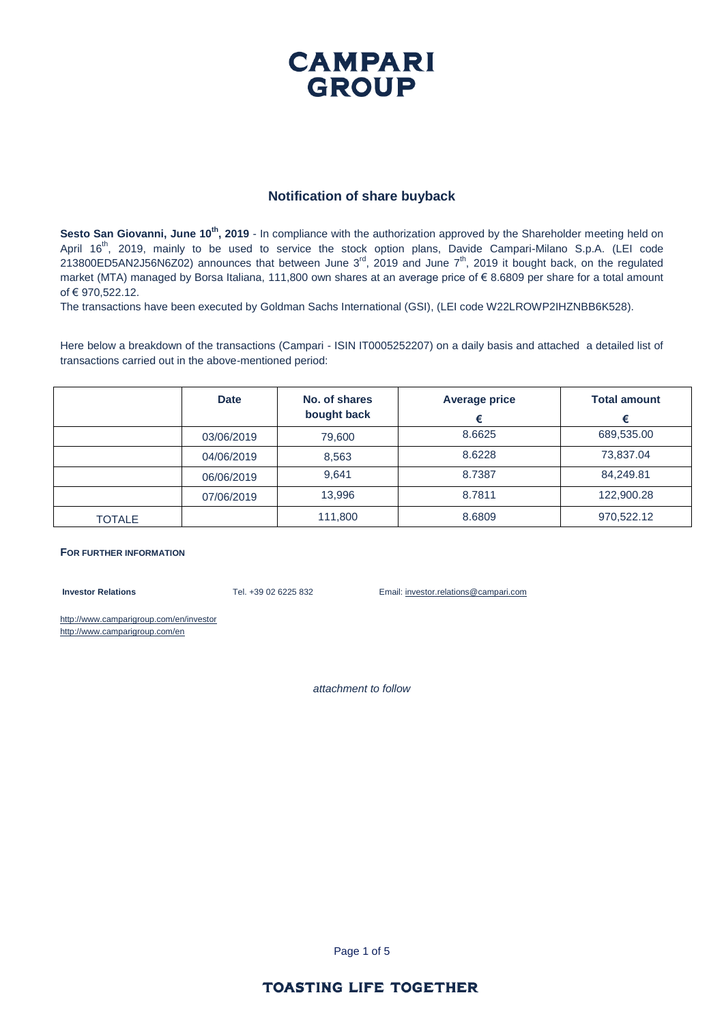### **CAMPARI GROUP**

#### **Notification of share buyback**

**Sesto San Giovanni, June 10th, 2019** - In compliance with the authorization approved by the Shareholder meeting held on April 16<sup>th</sup>, 2019, mainly to be used to service the stock option plans, Davide Campari-Milano S.p.A. (LEI code 213800ED5AN2J56N6Z02) announces that between June 3 $^{rd}$ , 2019 and June  $7^{th}$ , 2019 it bought back, on the regulated market (MTA) managed by Borsa Italiana, 111,800 own shares at an average price of € 8.6809 per share for a total amount of € 970,522.12.

The transactions have been executed by Goldman Sachs International (GSI), (LEI code W22LROWP2IHZNBB6K528).

Here below a breakdown of the transactions (Campari - ISIN IT0005252207) on a daily basis and attached a detailed list of transactions carried out in the above-mentioned period:

|               | <b>Date</b> | No. of shares<br>bought back | <b>Average price</b><br>€ | <b>Total amount</b><br>€ |
|---------------|-------------|------------------------------|---------------------------|--------------------------|
|               | 03/06/2019  | 79,600                       | 8.6625                    | 689,535.00               |
|               | 04/06/2019  | 8,563                        | 8.6228                    | 73,837.04                |
|               | 06/06/2019  | 9.641                        | 8.7387                    | 84,249.81                |
|               | 07/06/2019  | 13.996                       | 8.7811                    | 122,900.28               |
| <b>TOTALE</b> |             | 111,800                      | 8.6809                    | 970,522.12               |

#### **FOR FURTHER INFORMATION**

**Investor Relations** Tel. +39 02 6225 832 Email: investor.relations@campari.com

http://www.camparigroup.com/en/investor http://www.camparigroup.com/en

*attachment to follow*

Page 1 of 5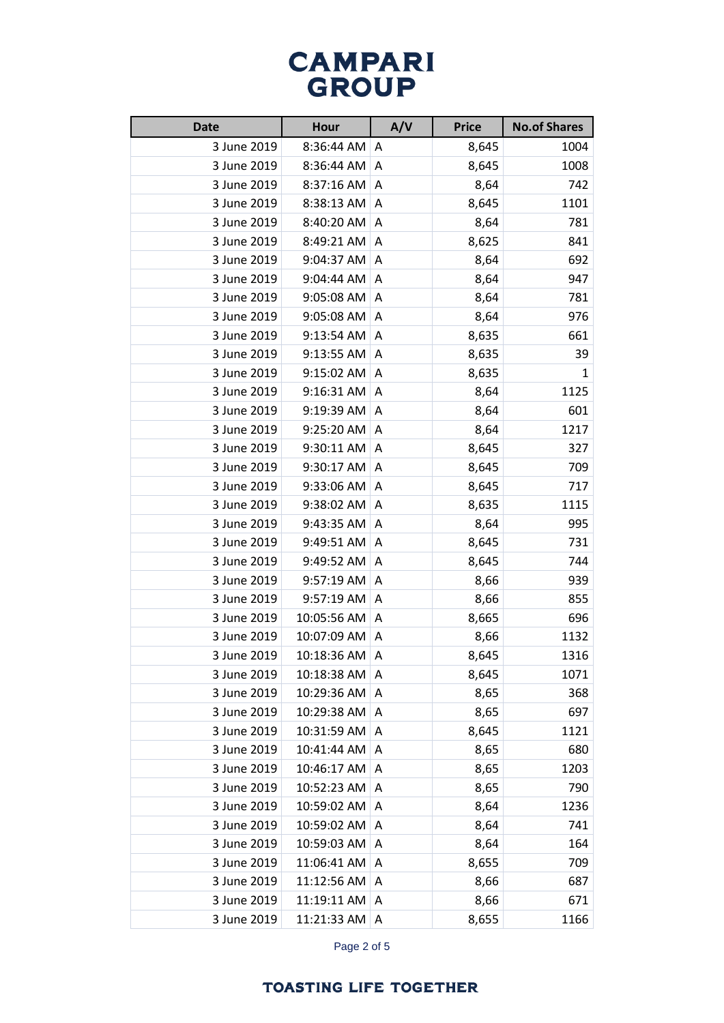# **CAMPARI**<br>GROUP

| <b>Date</b> | Hour        | A/V | <b>Price</b> | <b>No.of Shares</b> |
|-------------|-------------|-----|--------------|---------------------|
| 3 June 2019 | 8:36:44 AM  | A   | 8,645        | 1004                |
| 3 June 2019 | 8:36:44 AM  | A   | 8,645        | 1008                |
| 3 June 2019 | 8:37:16 AM  | A   | 8,64         | 742                 |
| 3 June 2019 | 8:38:13 AM  | A   | 8,645        | 1101                |
| 3 June 2019 | 8:40:20 AM  | Α   | 8,64         | 781                 |
| 3 June 2019 | 8:49:21 AM  | A   | 8,625        | 841                 |
| 3 June 2019 | 9:04:37 AM  | Α   | 8,64         | 692                 |
| 3 June 2019 | 9:04:44 AM  | A   | 8,64         | 947                 |
| 3 June 2019 | 9:05:08 AM  | A   | 8,64         | 781                 |
| 3 June 2019 | 9:05:08 AM  | Α   | 8,64         | 976                 |
| 3 June 2019 | 9:13:54 AM  | A   | 8,635        | 661                 |
| 3 June 2019 | 9:13:55 AM  | Α   | 8,635        | 39                  |
| 3 June 2019 | 9:15:02 AM  | A   | 8,635        | 1                   |
| 3 June 2019 | 9:16:31 AM  | A   | 8,64         | 1125                |
| 3 June 2019 | 9:19:39 AM  | A   | 8,64         | 601                 |
| 3 June 2019 | 9:25:20 AM  | A   | 8,64         | 1217                |
| 3 June 2019 | 9:30:11 AM  | Α   | 8,645        | 327                 |
| 3 June 2019 | 9:30:17 AM  | A   | 8,645        | 709                 |
| 3 June 2019 | 9:33:06 AM  | A   | 8,645        | 717                 |
| 3 June 2019 | 9:38:02 AM  | A   | 8,635        | 1115                |
| 3 June 2019 | 9:43:35 AM  | A   | 8,64         | 995                 |
| 3 June 2019 | 9:49:51 AM  | Α   | 8,645        | 731                 |
| 3 June 2019 | 9:49:52 AM  | A   | 8,645        | 744                 |
| 3 June 2019 | 9:57:19 AM  | Α   | 8,66         | 939                 |
| 3 June 2019 | 9:57:19 AM  | A   | 8,66         | 855                 |
| 3 June 2019 | 10:05:56 AM | A   | 8,665        | 696                 |
| 3 June 2019 | 10:07:09 AM | A   | 8,66         | 1132                |
| 3 June 2019 | 10:18:36 AM | A   | 8,645        | 1316                |
| 3 June 2019 | 10:18:38 AM | A   | 8,645        | 1071                |
| 3 June 2019 | 10:29:36 AM | Α   | 8,65         | 368                 |
| 3 June 2019 | 10:29:38 AM | Α   | 8,65         | 697                 |
| 3 June 2019 | 10:31:59 AM | Α   | 8,645        | 1121                |
| 3 June 2019 | 10:41:44 AM | Α   | 8,65         | 680                 |
| 3 June 2019 | 10:46:17 AM | A   | 8,65         | 1203                |
| 3 June 2019 | 10:52:23 AM | Α   | 8,65         | 790                 |
| 3 June 2019 | 10:59:02 AM | Α   | 8,64         | 1236                |
| 3 June 2019 | 10:59:02 AM | Α   | 8,64         | 741                 |
| 3 June 2019 | 10:59:03 AM | Α   | 8,64         | 164                 |
| 3 June 2019 | 11:06:41 AM | A   | 8,655        | 709                 |
| 3 June 2019 | 11:12:56 AM | Α   | 8,66         | 687                 |
| 3 June 2019 | 11:19:11 AM | Α   | 8,66         | 671                 |
| 3 June 2019 | 11:21:33 AM | Α   | 8,655        | 1166                |

Page 2 of 5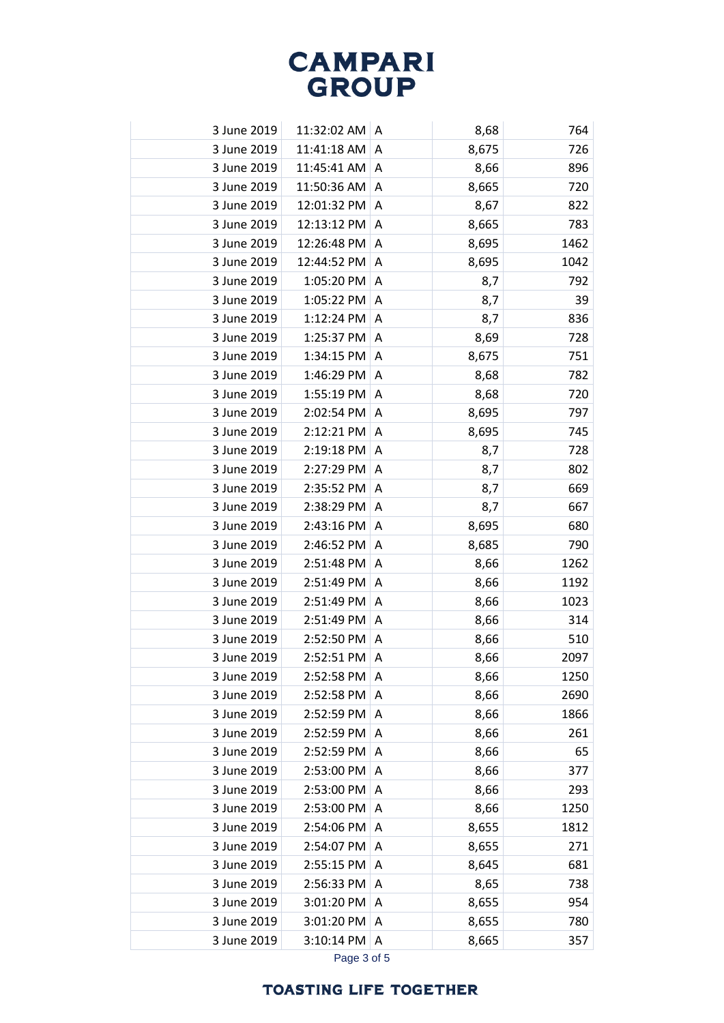## **CAMPARI**<br>GROUP

| 3 June 2019 | 11:32:02 AM  | A | 8,68  | 764  |
|-------------|--------------|---|-------|------|
| 3 June 2019 | 11:41:18 AM  | Α | 8,675 | 726  |
| 3 June 2019 | 11:45:41 AM  | Α | 8,66  | 896  |
| 3 June 2019 | 11:50:36 AM  | Α | 8,665 | 720  |
| 3 June 2019 | 12:01:32 PM  | Α | 8,67  | 822  |
| 3 June 2019 | 12:13:12 PM  | Α | 8,665 | 783  |
| 3 June 2019 | 12:26:48 PM  | Α | 8,695 | 1462 |
| 3 June 2019 | 12:44:52 PM  | Α | 8,695 | 1042 |
| 3 June 2019 | 1:05:20 PM   | Α | 8,7   | 792  |
| 3 June 2019 | 1:05:22 PM   | Α | 8,7   | 39   |
| 3 June 2019 | 1:12:24 PM   | A | 8,7   | 836  |
| 3 June 2019 | 1:25:37 PM   | Α | 8,69  | 728  |
| 3 June 2019 | 1:34:15 PM   | Α | 8,675 | 751  |
| 3 June 2019 | 1:46:29 PM   | Α | 8,68  | 782  |
| 3 June 2019 | 1:55:19 PM   | A | 8,68  | 720  |
| 3 June 2019 | 2:02:54 PM   | Α | 8,695 | 797  |
| 3 June 2019 | 2:12:21 PM   | Α | 8,695 | 745  |
| 3 June 2019 | 2:19:18 PM   | A | 8,7   | 728  |
| 3 June 2019 | 2:27:29 PM   | Α | 8,7   | 802  |
| 3 June 2019 | 2:35:52 PM   | Α | 8,7   | 669  |
| 3 June 2019 | 2:38:29 PM   | Α | 8,7   | 667  |
| 3 June 2019 | 2:43:16 PM   | Α | 8,695 | 680  |
| 3 June 2019 | 2:46:52 PM   | Α | 8,685 | 790  |
| 3 June 2019 | 2:51:48 PM   | A | 8,66  | 1262 |
| 3 June 2019 | 2:51:49 PM   | A | 8,66  | 1192 |
| 3 June 2019 | 2:51:49 PM   | Α | 8,66  | 1023 |
| 3 June 2019 | 2:51:49 PM   | Α | 8,66  | 314  |
| 3 June 2019 | 2:52:50 PM   | A | 8,66  | 510  |
| 3 June 2019 | 2:52:51 PM A |   | 8,66  | 2097 |
| 3 June 2019 | 2:52:58 PM   | A | 8,66  | 1250 |
| 3 June 2019 | 2:52:58 PM   | A | 8,66  | 2690 |
| 3 June 2019 | 2:52:59 PM   | Α | 8,66  | 1866 |
| 3 June 2019 | 2:52:59 PM   | A | 8,66  | 261  |
| 3 June 2019 | 2:52:59 PM   | A | 8,66  | 65   |
| 3 June 2019 | 2:53:00 PM   | Α | 8,66  | 377  |
| 3 June 2019 | 2:53:00 PM   | A | 8,66  | 293  |
| 3 June 2019 | 2:53:00 PM   | A | 8,66  | 1250 |
| 3 June 2019 | 2:54:06 PM   | Α | 8,655 | 1812 |
| 3 June 2019 | 2:54:07 PM   | Α | 8,655 | 271  |
| 3 June 2019 | 2:55:15 PM   | Α | 8,645 | 681  |
| 3 June 2019 | 2:56:33 PM   | Α | 8,65  | 738  |
| 3 June 2019 | 3:01:20 PM   | A | 8,655 | 954  |
| 3 June 2019 | 3:01:20 PM   | A | 8,655 | 780  |
| 3 June 2019 | 3:10:14 PM   | A | 8,665 | 357  |
|             |              |   |       |      |

Page 3 of 5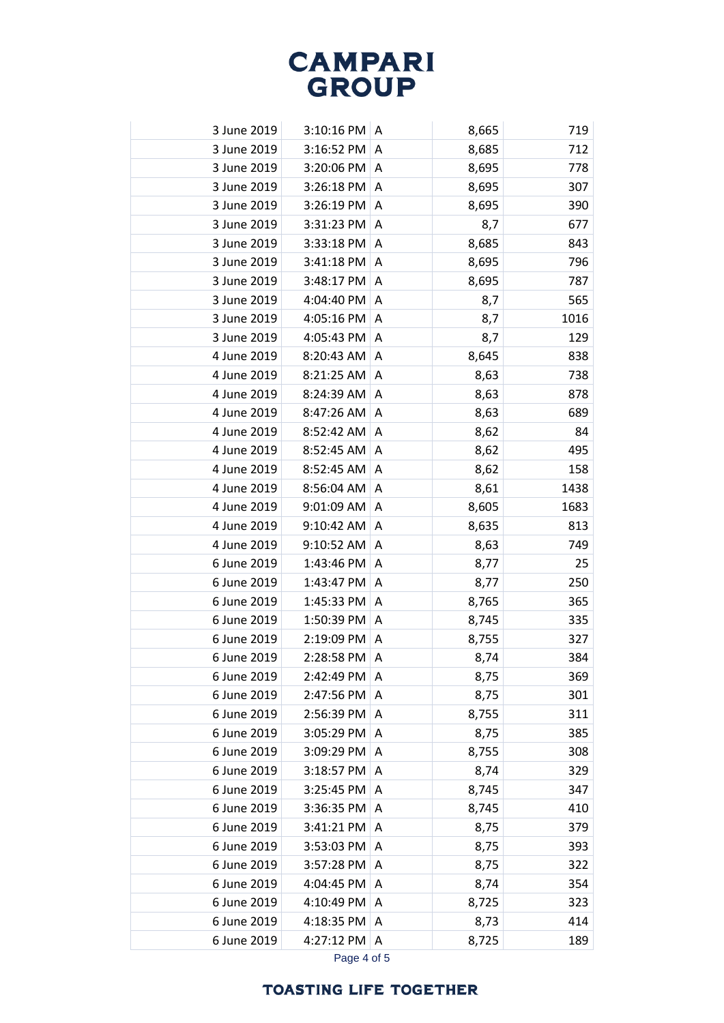# **CAMPARI**<br>GROUP

| 3 June 2019 | $3:10:16$ PM $ A$ |              | 8,665 | 719  |
|-------------|-------------------|--------------|-------|------|
| 3 June 2019 | 3:16:52 PM        | A            | 8,685 | 712  |
| 3 June 2019 | 3:20:06 PM        | A            | 8,695 | 778  |
| 3 June 2019 | 3:26:18 PM        | A            | 8,695 | 307  |
| 3 June 2019 | 3:26:19 PM        | A            | 8,695 | 390  |
| 3 June 2019 | 3:31:23 PM        | A            | 8,7   | 677  |
| 3 June 2019 | 3:33:18 PM        | A            | 8,685 | 843  |
| 3 June 2019 | 3:41:18 PM        | A            | 8,695 | 796  |
| 3 June 2019 | 3:48:17 PM        | A            | 8,695 | 787  |
| 3 June 2019 | 4:04:40 PM        | A            | 8,7   | 565  |
| 3 June 2019 | 4:05:16 PM        | A            | 8,7   | 1016 |
| 3 June 2019 | 4:05:43 PM        | A            | 8,7   | 129  |
| 4 June 2019 | 8:20:43 AM        | A            | 8,645 | 838  |
| 4 June 2019 | 8:21:25 AM        | A            | 8,63  | 738  |
| 4 June 2019 | 8:24:39 AM        | A            | 8,63  | 878  |
| 4 June 2019 | 8:47:26 AM        | A            | 8,63  | 689  |
| 4 June 2019 | 8:52:42 AM        | A            | 8,62  | 84   |
| 4 June 2019 | 8:52:45 AM        | A            | 8,62  | 495  |
| 4 June 2019 | 8:52:45 AM        | A            | 8,62  | 158  |
| 4 June 2019 | 8:56:04 AM        | A            | 8,61  | 1438 |
| 4 June 2019 | 9:01:09 AM        | Α            | 8,605 | 1683 |
| 4 June 2019 | 9:10:42 AM        | A            | 8,635 | 813  |
| 4 June 2019 | 9:10:52 AM        | A            | 8,63  | 749  |
| 6 June 2019 | 1:43:46 PM        | A            | 8,77  | 25   |
| 6 June 2019 | 1:43:47 PM        | A            | 8,77  | 250  |
| 6 June 2019 | 1:45:33 PM        | A            | 8,765 | 365  |
| 6 June 2019 | 1:50:39 PM        | A            | 8,745 | 335  |
| 6 June 2019 | 2:19:09 PM        | A            | 8,755 | 327  |
| 6 June 2019 | 2:28:58 PM        | $\mathsf{A}$ | 8,74  | 384  |
| 6 June 2019 | 2:42:49 PM        | A            | 8,75  | 369  |
| 6 June 2019 | 2:47:56 PM        | A            | 8,75  | 301  |
| 6 June 2019 | 2:56:39 PM        | Α            | 8,755 | 311  |
| 6 June 2019 | 3:05:29 PM        | Α            | 8,75  | 385  |
| 6 June 2019 | 3:09:29 PM        | Α            | 8,755 | 308  |
| 6 June 2019 | 3:18:57 PM        | A            | 8,74  | 329  |
| 6 June 2019 | 3:25:45 PM        | A            | 8,745 | 347  |
| 6 June 2019 | 3:36:35 PM        | Α            | 8,745 | 410  |
| 6 June 2019 | 3:41:21 PM        | A            | 8,75  | 379  |
| 6 June 2019 | 3:53:03 PM        | Α            | 8,75  | 393  |
| 6 June 2019 | 3:57:28 PM        | Α            | 8,75  | 322  |
| 6 June 2019 | 4:04:45 PM        | A            | 8,74  | 354  |
| 6 June 2019 | 4:10:49 PM        | A            | 8,725 | 323  |
| 6 June 2019 | 4:18:35 PM        | A            | 8,73  | 414  |
| 6 June 2019 | 4:27:12 PM        | A            | 8,725 | 189  |
|             |                   |              |       |      |

Page 4 of 5